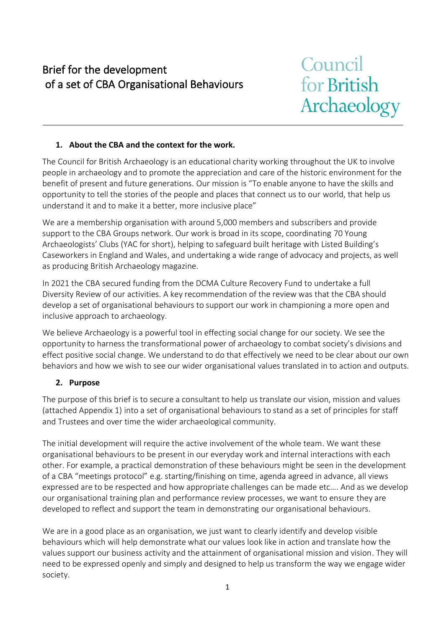## Brief for the development of a set of CBA Organisational Behaviours

# Council for British Archaeology

## **1. About the CBA and the context for the work.**

The Council for British Archaeology is an educational charity working throughout the UK to involve people in archaeology and to promote the appreciation and care of the historic environment for the benefit of present and future generations. Our mission is "To enable anyone to have the skills and opportunity to tell the stories of the people and places that connect us to our world, that help us understand it and to make it a better, more inclusive place"

We are a membership organisation with around 5,000 members and subscribers and provide support to the CBA Groups network. Our work is broad in its scope, coordinating 70 Young Archaeologists' Clubs (YAC for short), helping to safeguard built heritage with Listed Building's Caseworkers in England and Wales, and undertaking a wide range of advocacy and projects, as well as producing British Archaeology magazine.

In 2021 the CBA secured funding from the DCMA Culture Recovery Fund to undertake a full Diversity Review of our activities. A key recommendation of the review was that the CBA should develop a set of organisational behaviours to support our work in championing a more open and inclusive approach to archaeology.

We believe Archaeology is a powerful tool in effecting social change for our society. We see the opportunity to harness the transformational power of archaeology to combat society's divisions and effect positive social change. We understand to do that effectively we need to be clear about our own behaviors and how we wish to see our wider organisational values translated in to action and outputs.

## **2. Purpose**

The purpose of this brief is to secure a consultant to help us translate our vision, mission and values (attached Appendix 1) into a set of organisational behaviours to stand as a set of principles for staff and Trustees and over time the wider archaeological community.

The initial development will require the active involvement of the whole team. We want these organisational behaviours to be present in our everyday work and internal interactions with each other. For example, a practical demonstration of these behaviours might be seen in the development of a CBA "meetings protocol" e.g. starting/finishing on time, agenda agreed in advance, all views expressed are to be respected and how appropriate challenges can be made etc…. And as we develop our organisational training plan and performance review processes, we want to ensure they are developed to reflect and support the team in demonstrating our organisational behaviours.

We are in a good place as an organisation, we just want to clearly identify and develop visible behaviours which will help demonstrate what our values look like in action and translate how the values support our business activity and the attainment of organisational mission and vision. They will need to be expressed openly and simply and designed to help us transform the way we engage wider society.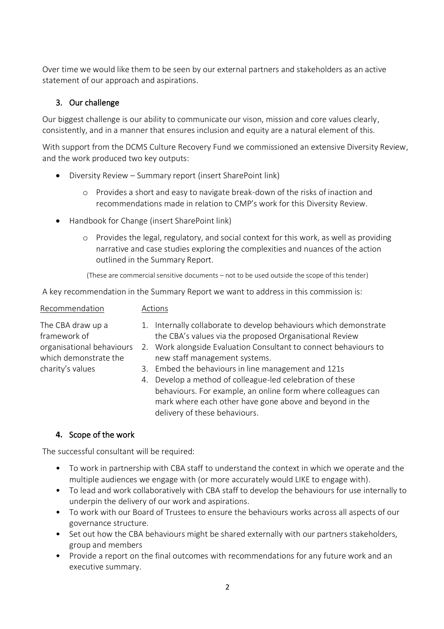Over time we would like them to be seen by our external partners and stakeholders as an active statement of our approach and aspirations.

## 3. Our challenge

Our biggest challenge is our ability to communicate our vison, mission and core values clearly, consistently, and in a manner that ensures inclusion and equity are a natural element of this.

With support from the DCMS Culture Recovery Fund we commissioned an extensive Diversity Review, and the work produced two key outputs:

- Diversity Review Summary report (insert SharePoint link)
	- o Provides a short and easy to navigate break-down of the risks of inaction and recommendations made in relation to CMP's work for this Diversity Review.
- Handbook for Change (insert SharePoint link)
	- o Provides the legal, regulatory, and social context for this work, as well as providing narrative and case studies exploring the complexities and nuances of the action outlined in the Summary Report.

(These are commercial sensitive documents – not to be used outside the scope of this tender)

A key recommendation in the Summary Report we want to address in this commission is:

| Recommendation                                     | Actions |                                                                                                                                                                                   |
|----------------------------------------------------|---------|-----------------------------------------------------------------------------------------------------------------------------------------------------------------------------------|
| The CBA draw up a<br>framework of                  | 1.      | Internally collaborate to develop behaviours which demonstrate<br>the CBA's values via the proposed Organisational Review                                                         |
| organisational behaviours<br>which demonstrate the |         | 2. Work alongside Evaluation Consultant to connect behaviours to<br>new staff management systems.                                                                                 |
| charity's values                                   |         | 3. Embed the behaviours in line management and 121s                                                                                                                               |
|                                                    | 4.      | Develop a method of colleague-led celebration of these<br>behaviours. For example, an online form where colleagues can<br>mark where each other have gone above and beyond in the |

delivery of these behaviours.

## **4.** Scope of the work

The successful consultant will be required:

- To work in partnership with CBA staff to understand the context in which we operate and the multiple audiences we engage with (or more accurately would LIKE to engage with).
- To lead and work collaboratively with CBA staff to develop the behaviours for use internally to underpin the delivery of our work and aspirations.
- To work with our Board of Trustees to ensure the behaviours works across all aspects of our governance structure.
- Set out how the CBA behaviours might be shared externally with our partners stakeholders, group and members
- Provide a report on the final outcomes with recommendations for any future work and an executive summary.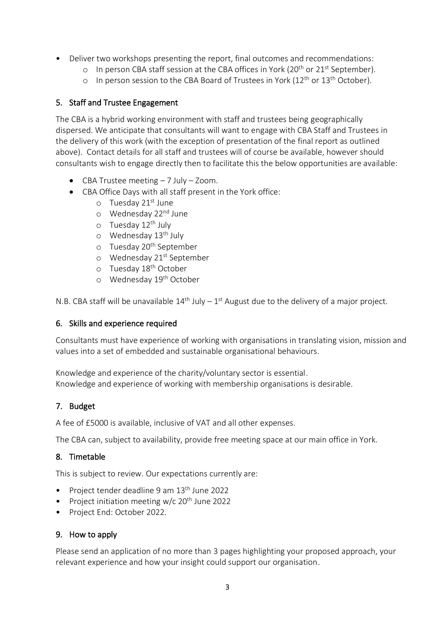- Deliver two workshops presenting the report, final outcomes and recommendations:
	- o In person CBA staff session at the CBA offices in York (20<sup>th</sup> or 21<sup>st</sup> September).
	- o In person session to the CBA Board of Trustees in York (12<sup>th</sup> or 13<sup>th</sup> October).

## 5. Staff and Trustee Engagement

The CBA is a hybrid working environment with staff and trustees being geographically dispersed. We anticipate that consultants will want to engage with CBA Staff and Trustees in the delivery of this work (with the exception of presentation of the final report as outlined above). Contact details for all staff and trustees will of course be available, however should consultants wish to engage directly then to facilitate this the below opportunities are available:

- CBA Trustee meeting 7 July Zoom.
- CBA Office Days with all staff present in the York office:
	- o Tuesday 21st June
	- o Wednesday 22<sup>nd</sup> June
	- o Tuesday 12<sup>th</sup> July
	- o Wednesday 13<sup>th</sup> July
	- o Tuesday 20<sup>th</sup> September
	- o Wednesday 21<sup>st</sup> September
	- o Tuesday 18<sup>th</sup> October
	- o Wednesday 19th October

N.B. CBA staff will be unavailable  $14<sup>th</sup>$  July –  $1<sup>st</sup>$  August due to the delivery of a major project.

## 6. Skills and experience required

Consultants must have experience of working with organisations in translating vision, mission and values into a set of embedded and sustainable organisational behaviours.

Knowledge and experience of the charity/voluntary sector is essential. Knowledge and experience of working with membership organisations is desirable.

## 7. Budget

A fee of £5000 is available, inclusive of VAT and all other expenses.

The CBA can, subject to availability, provide free meeting space at our main office in York.

## 8. Timetable

This is subject to review. Our expectations currently are:

- Project tender deadline 9 am 13<sup>th</sup> June 2022
- Project initiation meeting w/c 20<sup>th</sup> June 2022
- Project End: October 2022.

## 9. How to apply

Please send an application of no more than 3 pages highlighting your proposed approach, your relevant experience and how your insight could support our organisation.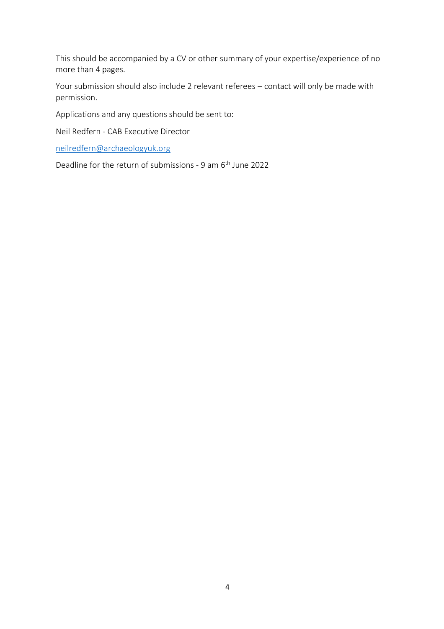This should be accompanied by a CV or other summary of your expertise/experience of no more than 4 pages.

Your submission should also include 2 relevant referees – contact will only be made with permission.

Applications and any questions should be sent to:

Neil Redfern - CAB Executive Director

[neilredfern@archaeologyuk.org](mailto:neilredfern@archaeologyuk.org)

Deadline for the return of submissions - 9 am 6<sup>th</sup> June 2022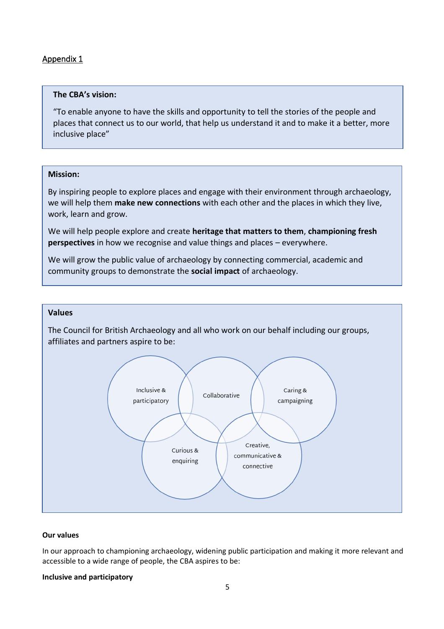## Appendix 1

#### **The CBA's vision:**

"To enable anyone to have the skills and opportunity to tell the stories of the people and places that connect us to our world, that help us understand it and to make it a better, more inclusive place"

#### **Mission:**

By inspiring people to explore places and engage with their environment through archaeology, we will help them **make new connections** with each other and the places in which they live, work, learn and grow.

We will help people explore and create **heritage that matters to them**, **championing fresh perspectives** in how we recognise and value things and places – everywhere.

We will grow the public value of archaeology by connecting commercial, academic and community groups to demonstrate the **social impact** of archaeology.

#### **Values**

The Council for British Archaeology and all who work on our behalf including our groups, affiliates and partners aspire to be:



#### **Our values**

In our approach to championing archaeology, widening public participation and making it more relevant and accessible to a wide range of people, the CBA aspires to be:

#### **Inclusive and participatory**